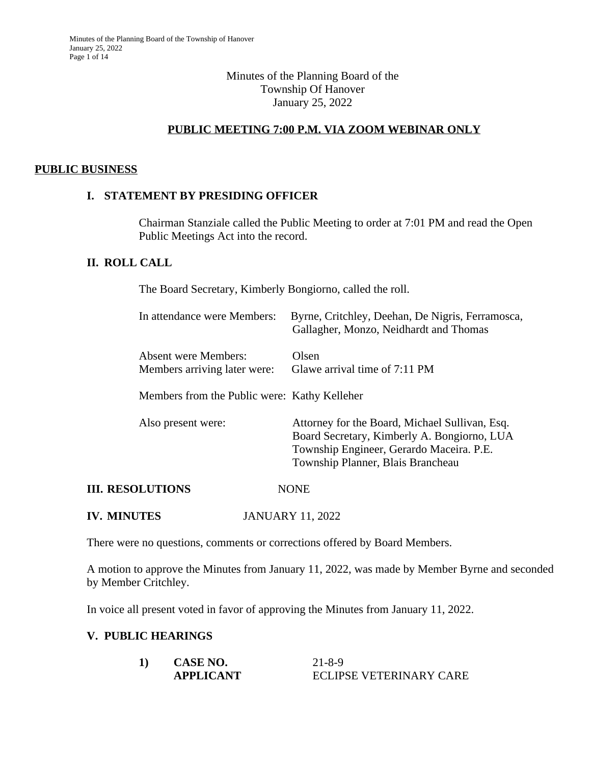## Minutes of the Planning Board of the Township Of Hanover January 25, 2022

# **PUBLIC MEETING 7:00 P.M. VIA ZOOM WEBINAR ONLY**

### **PUBLIC BUSINESS**

## **I. STATEMENT BY PRESIDING OFFICER**

Chairman Stanziale called the Public Meeting to order at 7:01 PM and read the Open Public Meetings Act into the record.

### **II. ROLL CALL**

The Board Secretary, Kimberly Bongiorno, called the roll.

| In attendance were Members:                                 | Byrne, Critchley, Deehan, De Nigris, Ferramosca,<br>Gallagher, Monzo, Neidhardt and Thomas                                                                                     |
|-------------------------------------------------------------|--------------------------------------------------------------------------------------------------------------------------------------------------------------------------------|
| <b>Absent were Members:</b><br>Members arriving later were: | Olsen<br>Glawe arrival time of 7:11 PM                                                                                                                                         |
| Members from the Public were: Kathy Kelleher                |                                                                                                                                                                                |
| Also present were:                                          | Attorney for the Board, Michael Sullivan, Esq.<br>Board Secretary, Kimberly A. Bongiorno, LUA<br>Township Engineer, Gerardo Maceira. P.E.<br>Township Planner, Blais Brancheau |
| <b>III. RESOLUTIONS</b>                                     | <b>NONE</b>                                                                                                                                                                    |

**IV. MINUTES** JANUARY 11, 2022

There were no questions, comments or corrections offered by Board Members.

A motion to approve the Minutes from January 11, 2022, was made by Member Byrne and seconded by Member Critchley.

In voice all present voted in favor of approving the Minutes from January 11, 2022.

### **V. PUBLIC HEARINGS**

| 1) | CASE NO.         | $21 - 8 - 9$            |
|----|------------------|-------------------------|
|    | <b>APPLICANT</b> | ECLIPSE VETERINARY CARE |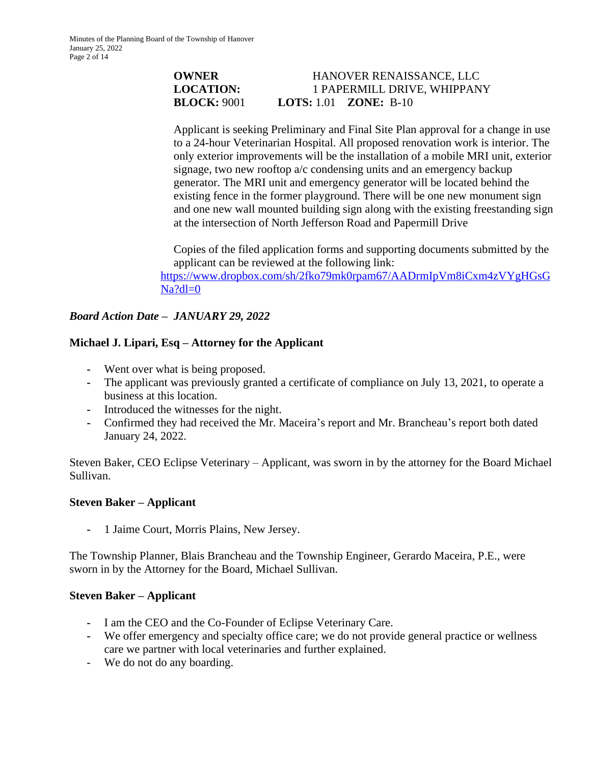## **OWNER HANOVER RENAISSANCE, LLC LOCATION:** 1 PAPERMILL DRIVE, WHIPPANY **BLOCK:** 9001 **LOTS:** 1.01 **ZONE:** B-10

Applicant is seeking Preliminary and Final Site Plan approval for a change in use to a 24-hour Veterinarian Hospital. All proposed renovation work is interior. The only exterior improvements will be the installation of a mobile MRI unit, exterior signage, two new rooftop a/c condensing units and an emergency backup generator. The MRI unit and emergency generator will be located behind the existing fence in the former playground. There will be one new monument sign and one new wall mounted building sign along with the existing freestanding sign at the intersection of North Jefferson Road and Papermill Drive

Copies of the filed application forms and supporting documents submitted by the applicant can be reviewed at the following link:

[https://www.dropbox.com/sh/2fko79mk0rpam67/AADrmIpVm8iCxm4zVYgHGsG](https://www.dropbox.com/sh/2fko79mk0rpam67/AADrmIpVm8iCxm4zVYgHGsGNa?dl=0)  $Na?dl=0$ 

# *Board Action Date – JANUARY 29, 2022*

# **Michael J. Lipari, Esq – Attorney for the Applicant**

- **-** Went over what is being proposed.
- **-** The applicant was previously granted a certificate of compliance on July 13, 2021, to operate a business at this location.
- **-** Introduced the witnesses for the night.
- **-** Confirmed they had received the Mr. Maceira's report and Mr. Brancheau's report both dated January 24, 2022.

Steven Baker, CEO Eclipse Veterinary – Applicant, was sworn in by the attorney for the Board Michael Sullivan.

# **Steven Baker – Applicant**

**-** 1 Jaime Court, Morris Plains, New Jersey.

The Township Planner, Blais Brancheau and the Township Engineer, Gerardo Maceira, P.E., were sworn in by the Attorney for the Board, Michael Sullivan.

# **Steven Baker – Applicant**

- **-** I am the CEO and the Co-Founder of Eclipse Veterinary Care.
- **-** We offer emergency and specialty office care; we do not provide general practice or wellness care we partner with local veterinaries and further explained.
- We do not do any boarding.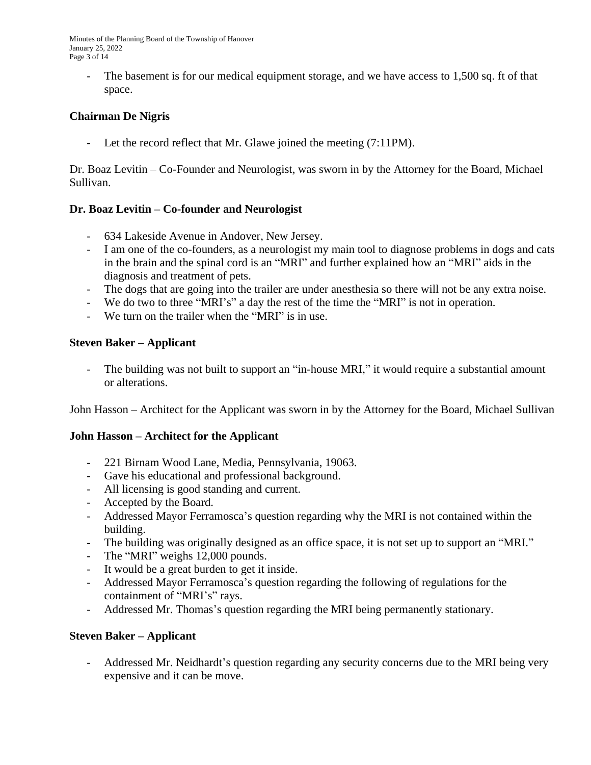Minutes of the Planning Board of the Township of Hanover January 25, 2022 Page 3 of 14

The basement is for our medical equipment storage, and we have access to 1,500 sq. ft of that space.

# **Chairman De Nigris**

Let the record reflect that Mr. Glawe joined the meeting (7:11PM).

Dr. Boaz Levitin – Co-Founder and Neurologist, was sworn in by the Attorney for the Board, Michael Sullivan.

# **Dr. Boaz Levitin – Co-founder and Neurologist**

- 634 Lakeside Avenue in Andover, New Jersey.
- I am one of the co-founders, as a neurologist my main tool to diagnose problems in dogs and cats in the brain and the spinal cord is an "MRI" and further explained how an "MRI" aids in the diagnosis and treatment of pets.
- The dogs that are going into the trailer are under anesthesia so there will not be any extra noise.
- We do two to three "MRI's" a day the rest of the time the "MRI" is not in operation.
- We turn on the trailer when the "MRI" is in use.

### **Steven Baker – Applicant**

- The building was not built to support an "in-house MRI," it would require a substantial amount or alterations.

John Hasson – Architect for the Applicant was sworn in by the Attorney for the Board, Michael Sullivan

# **John Hasson – Architect for the Applicant**

- 221 Birnam Wood Lane, Media, Pennsylvania, 19063.
- Gave his educational and professional background.
- All licensing is good standing and current.
- Accepted by the Board.
- Addressed Mayor Ferramosca's question regarding why the MRI is not contained within the building.
- The building was originally designed as an office space, it is not set up to support an "MRI."
- The "MRI" weighs 12,000 pounds.
- It would be a great burden to get it inside.
- Addressed Mayor Ferramosca's question regarding the following of regulations for the containment of "MRI's" rays.
- Addressed Mr. Thomas's question regarding the MRI being permanently stationary.

### **Steven Baker – Applicant**

Addressed Mr. Neidhardt's question regarding any security concerns due to the MRI being very expensive and it can be move.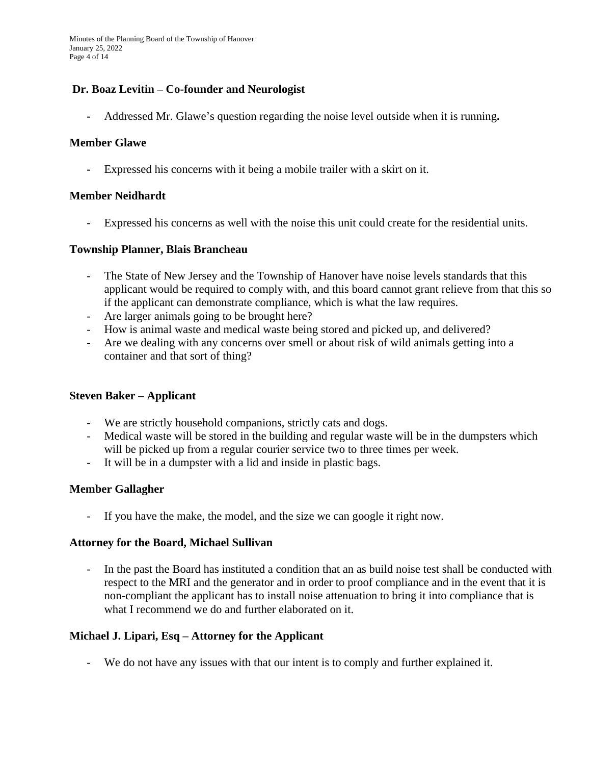Minutes of the Planning Board of the Township of Hanover January 25, 2022 Page 4 of 14

## **Dr. Boaz Levitin – Co-founder and Neurologist**

**-** Addressed Mr. Glawe's question regarding the noise level outside when it is running**.**

#### **Member Glawe**

**-** Expressed his concerns with it being a mobile trailer with a skirt on it.

#### **Member Neidhardt**

Expressed his concerns as well with the noise this unit could create for the residential units.

#### **Township Planner, Blais Brancheau**

- The State of New Jersey and the Township of Hanover have noise levels standards that this applicant would be required to comply with, and this board cannot grant relieve from that this so if the applicant can demonstrate compliance, which is what the law requires.
- Are larger animals going to be brought here?
- How is animal waste and medical waste being stored and picked up, and delivered?
- Are we dealing with any concerns over smell or about risk of wild animals getting into a container and that sort of thing?

### **Steven Baker – Applicant**

- We are strictly household companions, strictly cats and dogs.
- Medical waste will be stored in the building and regular waste will be in the dumpsters which will be picked up from a regular courier service two to three times per week.
- It will be in a dumpster with a lid and inside in plastic bags.

### **Member Gallagher**

- If you have the make, the model, and the size we can google it right now.

#### **Attorney for the Board, Michael Sullivan**

- In the past the Board has instituted a condition that an as build noise test shall be conducted with respect to the MRI and the generator and in order to proof compliance and in the event that it is non-compliant the applicant has to install noise attenuation to bring it into compliance that is what I recommend we do and further elaborated on it.

### **Michael J. Lipari, Esq – Attorney for the Applicant**

- We do not have any issues with that our intent is to comply and further explained it.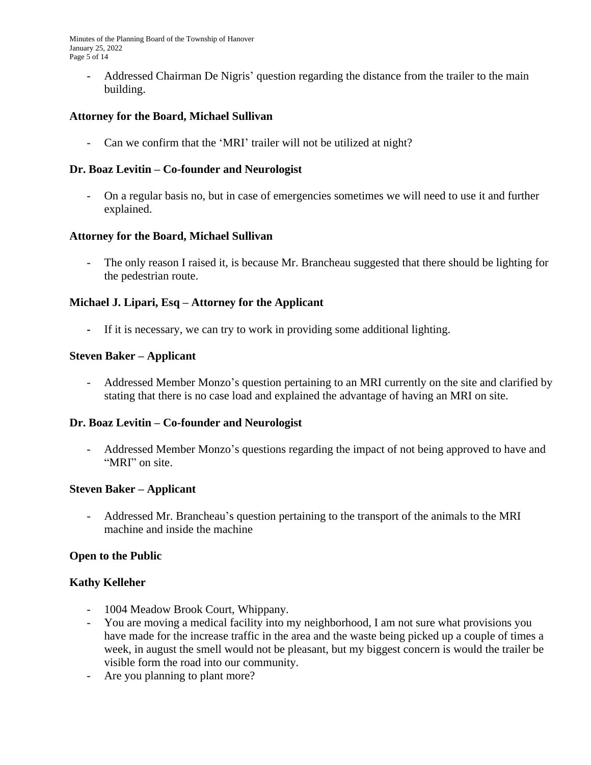Minutes of the Planning Board of the Township of Hanover January 25, 2022 Page 5 of 14

- Addressed Chairman De Nigris' question regarding the distance from the trailer to the main building.

### **Attorney for the Board, Michael Sullivan**

- Can we confirm that the 'MRI' trailer will not be utilized at night?

### **Dr. Boaz Levitin – Co-founder and Neurologist**

- On a regular basis no, but in case of emergencies sometimes we will need to use it and further explained.

### **Attorney for the Board, Michael Sullivan**

The only reason I raised it, is because Mr. Brancheau suggested that there should be lighting for the pedestrian route.

### **Michael J. Lipari, Esq – Attorney for the Applicant**

**-** If it is necessary, we can try to work in providing some additional lighting.

### **Steven Baker – Applicant**

- Addressed Member Monzo's question pertaining to an MRI currently on the site and clarified by stating that there is no case load and explained the advantage of having an MRI on site.

### **Dr. Boaz Levitin – Co-founder and Neurologist**

- Addressed Member Monzo's questions regarding the impact of not being approved to have and "MRI" on site.

### **Steven Baker – Applicant**

- Addressed Mr. Brancheau's question pertaining to the transport of the animals to the MRI machine and inside the machine

### **Open to the Public**

### **Kathy Kelleher**

- 1004 Meadow Brook Court, Whippany.
- You are moving a medical facility into my neighborhood, I am not sure what provisions you have made for the increase traffic in the area and the waste being picked up a couple of times a week, in august the smell would not be pleasant, but my biggest concern is would the trailer be visible form the road into our community.
- Are you planning to plant more?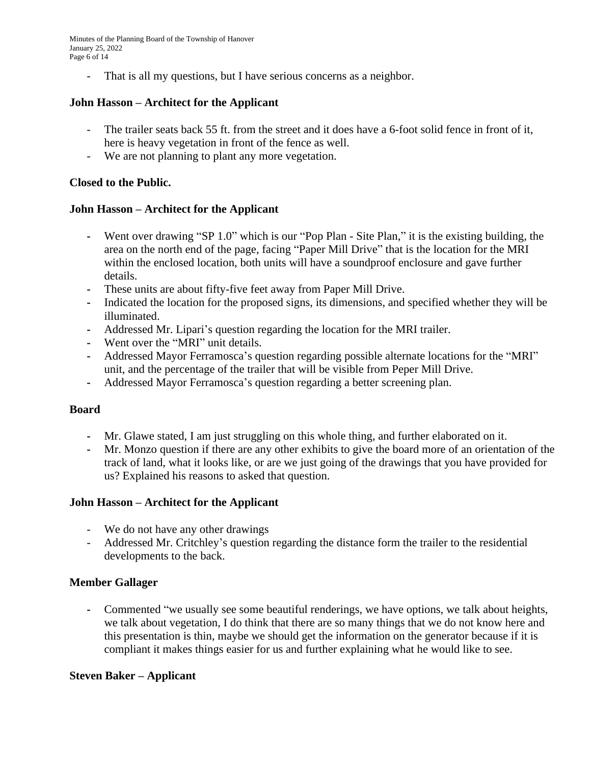Minutes of the Planning Board of the Township of Hanover January 25, 2022 Page 6 of 14

- That is all my questions, but I have serious concerns as a neighbor.

### **John Hasson – Architect for the Applicant**

- The trailer seats back 55 ft. from the street and it does have a 6-foot solid fence in front of it, here is heavy vegetation in front of the fence as well.
- We are not planning to plant any more vegetation.

### **Closed to the Public.**

### **John Hasson – Architect for the Applicant**

- **-** Went over drawing "SP 1.0" which is our "Pop Plan Site Plan," it is the existing building, the area on the north end of the page, facing "Paper Mill Drive" that is the location for the MRI within the enclosed location, both units will have a soundproof enclosure and gave further details.
- **-** These units are about fifty-five feet away from Paper Mill Drive.
- **-** Indicated the location for the proposed signs, its dimensions, and specified whether they will be illuminated.
- **-** Addressed Mr. Lipari's question regarding the location for the MRI trailer.
- **-** Went over the "MRI" unit details.
- **-** Addressed Mayor Ferramosca's question regarding possible alternate locations for the "MRI" unit, and the percentage of the trailer that will be visible from Peper Mill Drive.
- **-** Addressed Mayor Ferramosca's question regarding a better screening plan.

### **Board**

- **-** Mr. Glawe stated, I am just struggling on this whole thing, and further elaborated on it.
- **-** Mr. Monzo question if there are any other exhibits to give the board more of an orientation of the track of land, what it looks like, or are we just going of the drawings that you have provided for us? Explained his reasons to asked that question.

### **John Hasson – Architect for the Applicant**

- We do not have any other drawings
- Addressed Mr. Critchley's question regarding the distance form the trailer to the residential developments to the back.

### **Member Gallager**

**-** Commented "we usually see some beautiful renderings, we have options, we talk about heights, we talk about vegetation, I do think that there are so many things that we do not know here and this presentation is thin, maybe we should get the information on the generator because if it is compliant it makes things easier for us and further explaining what he would like to see.

### **Steven Baker – Applicant**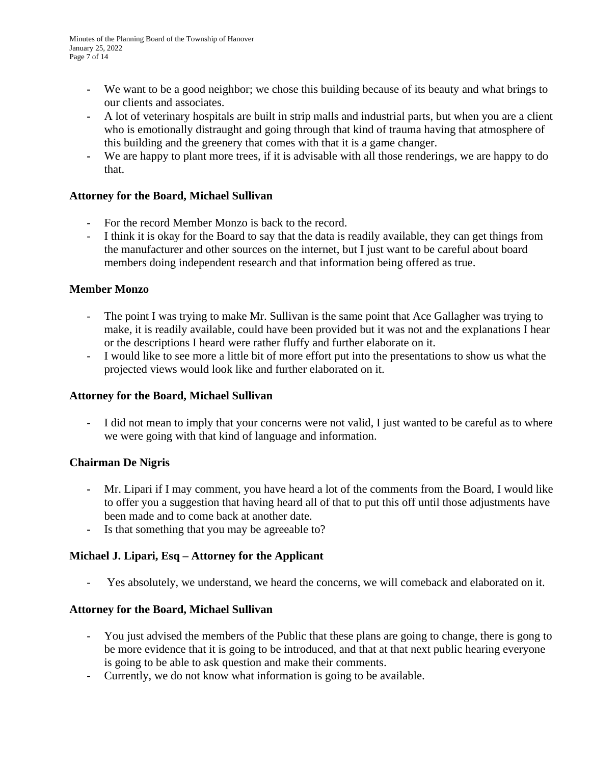- **-** We want to be a good neighbor; we chose this building because of its beauty and what brings to our clients and associates.
- **-** A lot of veterinary hospitals are built in strip malls and industrial parts, but when you are a client who is emotionally distraught and going through that kind of trauma having that atmosphere of this building and the greenery that comes with that it is a game changer.
- **-** We are happy to plant more trees, if it is advisable with all those renderings, we are happy to do that.

# **Attorney for the Board, Michael Sullivan**

- For the record Member Monzo is back to the record.
- I think it is okay for the Board to say that the data is readily available, they can get things from the manufacturer and other sources on the internet, but I just want to be careful about board members doing independent research and that information being offered as true.

# **Member Monzo**

- The point I was trying to make Mr. Sullivan is the same point that Ace Gallagher was trying to make, it is readily available, could have been provided but it was not and the explanations I hear or the descriptions I heard were rather fluffy and further elaborate on it.
- I would like to see more a little bit of more effort put into the presentations to show us what the projected views would look like and further elaborated on it.

# **Attorney for the Board, Michael Sullivan**

- I did not mean to imply that your concerns were not valid, I just wanted to be careful as to where we were going with that kind of language and information.

# **Chairman De Nigris**

- **-** Mr. Lipari if I may comment, you have heard a lot of the comments from the Board, I would like to offer you a suggestion that having heard all of that to put this off until those adjustments have been made and to come back at another date.
- **-** Is that something that you may be agreeable to?

# **Michael J. Lipari, Esq – Attorney for the Applicant**

- Yes absolutely, we understand, we heard the concerns, we will comeback and elaborated on it.

# **Attorney for the Board, Michael Sullivan**

- You just advised the members of the Public that these plans are going to change, there is gong to be more evidence that it is going to be introduced, and that at that next public hearing everyone is going to be able to ask question and make their comments.
- Currently, we do not know what information is going to be available.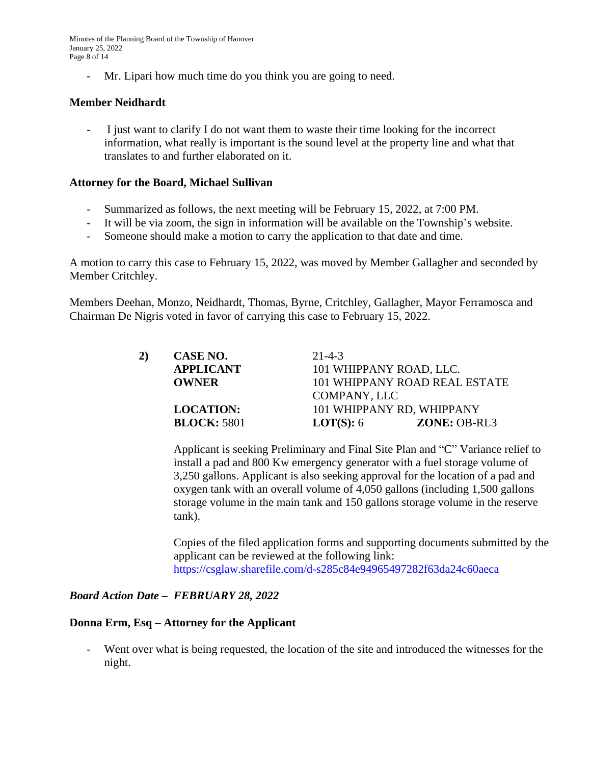Minutes of the Planning Board of the Township of Hanover January 25, 2022 Page 8 of 14

- Mr. Lipari how much time do you think you are going to need.

### **Member Neidhardt**

- I just want to clarify I do not want them to waste their time looking for the incorrect information, what really is important is the sound level at the property line and what that translates to and further elaborated on it.

#### **Attorney for the Board, Michael Sullivan**

- Summarized as follows, the next meeting will be February 15, 2022, at 7:00 PM.
- It will be via zoom, the sign in information will be available on the Township's website.
- Someone should make a motion to carry the application to that date and time.

A motion to carry this case to February 15, 2022, was moved by Member Gallagher and seconded by Member Critchley.

Members Deehan, Monzo, Neidhardt, Thomas, Byrne, Critchley, Gallagher, Mayor Ferramosca and Chairman De Nigris voted in favor of carrying this case to February 15, 2022.

| 2) | CASE NO.           | $21 - 4 - 3$            |                               |  |
|----|--------------------|-------------------------|-------------------------------|--|
|    | <b>APPLICANT</b>   | 101 WHIPPANY ROAD, LLC. |                               |  |
|    | <b>OWNER</b>       |                         | 101 WHIPPANY ROAD REAL ESTATE |  |
|    |                    | COMPANY, LLC            |                               |  |
|    | <b>LOCATION:</b>   |                         | 101 WHIPPANY RD, WHIPPANY     |  |
|    | <b>BLOCK: 5801</b> | <b>LOT(S):</b> $6$      | <b>ZONE: OB-RL3</b>           |  |

Applicant is seeking Preliminary and Final Site Plan and "C" Variance relief to install a pad and 800 Kw emergency generator with a fuel storage volume of 3,250 gallons. Applicant is also seeking approval for the location of a pad and oxygen tank with an overall volume of 4,050 gallons (including 1,500 gallons storage volume in the main tank and 150 gallons storage volume in the reserve tank).

Copies of the filed application forms and supporting documents submitted by the applicant can be reviewed at the following link: <https://csglaw.sharefile.com/d-s285c84e94965497282f63da24c60aeca>

### *[Board Action Date](https://csglaw.sharefile.com/d-s285c84e94965497282f63da24c60aeca) – [FEBRUARY 28, 2022](https://csglaw.sharefile.com/d-s285c84e94965497282f63da24c60aeca)*

#### **[Donna Erm, Esq](https://csglaw.sharefile.com/d-s285c84e94965497282f63da24c60aeca) [–](https://csglaw.sharefile.com/d-s285c84e94965497282f63da24c60aeca) [Attorney for the Applicant](https://csglaw.sharefile.com/d-s285c84e94965497282f63da24c60aeca)**

- [Went over what is being requested, the location of the site and introduced the witnesses for the](https://csglaw.sharefile.com/d-s285c84e94965497282f63da24c60aeca)  [night.](https://csglaw.sharefile.com/d-s285c84e94965497282f63da24c60aeca)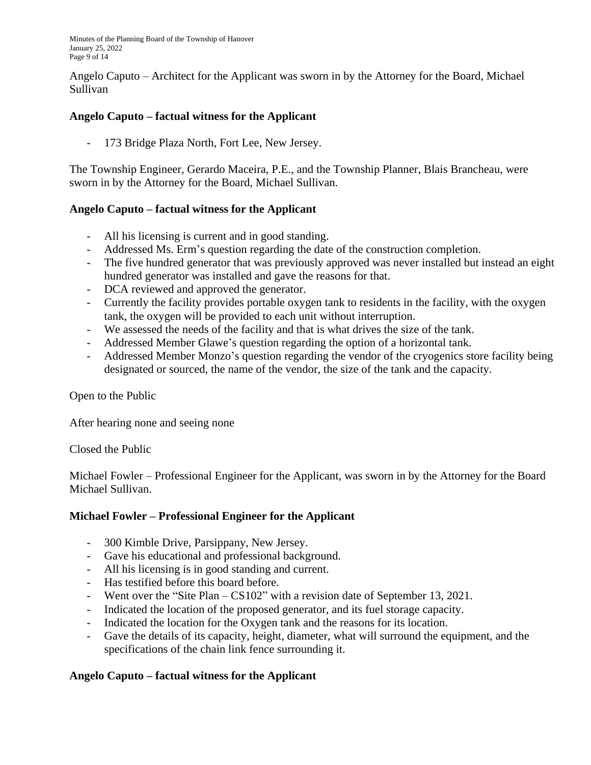Minutes of the Planning Board of the Township of Hanover January 25, 2022 Page 9 of 14

Angelo Caputo – Architect for the Applicant was sworn in by the Attorney for the Board, Michael Sullivan

# **Angelo Caputo – factual witness for the Applicant**

173 Bridge Plaza North, Fort Lee, New Jersey.

The Township Engineer, Gerardo Maceira, P.E., and the Township Planner, Blais Brancheau, were sworn in by the Attorney for the Board, Michael Sullivan.

# **Angelo Caputo – factual witness for the Applicant**

- All his licensing is current and in good standing.
- Addressed Ms. Erm's question regarding the date of the construction completion.
- The five hundred generator that was previously approved was never installed but instead an eight hundred generator was installed and gave the reasons for that.
- DCA reviewed and approved the generator.
- Currently the facility provides portable oxygen tank to residents in the facility, with the oxygen tank, the oxygen will be provided to each unit without interruption.
- We assessed the needs of the facility and that is what drives the size of the tank.
- Addressed Member Glawe's question regarding the option of a horizontal tank.
- Addressed Member Monzo's question regarding the vendor of the cryogenics store facility being designated or sourced, the name of the vendor, the size of the tank and the capacity.

Open to the Public

After hearing none and seeing none

Closed the Public

Michael Fowler – Professional Engineer for the Applicant, was sworn in by the Attorney for the Board Michael Sullivan.

# **Michael Fowler – Professional Engineer for the Applicant**

- 300 Kimble Drive, Parsippany, New Jersey.
- Gave his educational and professional background.
- All his licensing is in good standing and current.
- Has testified before this board before.
- Went over the "Site Plan CS102" with a revision date of September 13, 2021.
- Indicated the location of the proposed generator, and its fuel storage capacity.
- Indicated the location for the Oxygen tank and the reasons for its location.
- Gave the details of its capacity, height, diameter, what will surround the equipment, and the specifications of the chain link fence surrounding it.

# **Angelo Caputo – factual witness for the Applicant**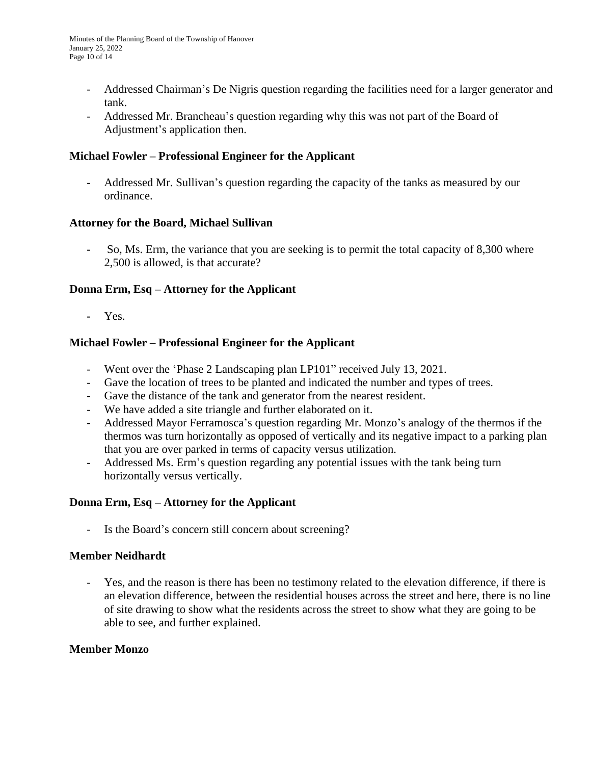- Addressed Chairman's De Nigris question regarding the facilities need for a larger generator and tank.
- Addressed Mr. Brancheau's question regarding why this was not part of the Board of Adjustment's application then.

## **Michael Fowler – Professional Engineer for the Applicant**

- Addressed Mr. Sullivan's question regarding the capacity of the tanks as measured by our ordinance.

### **Attorney for the Board, Michael Sullivan**

**-** So, Ms. Erm, the variance that you are seeking is to permit the total capacity of 8,300 where 2,500 is allowed, is that accurate?

### **Donna Erm, Esq – Attorney for the Applicant**

**-** Yes.

### **Michael Fowler – Professional Engineer for the Applicant**

- Went over the 'Phase 2 Landscaping plan LP101" received July 13, 2021.
- Gave the location of trees to be planted and indicated the number and types of trees.
- Gave the distance of the tank and generator from the nearest resident.
- We have added a site triangle and further elaborated on it.
- Addressed Mayor Ferramosca's question regarding Mr. Monzo's analogy of the thermos if the thermos was turn horizontally as opposed of vertically and its negative impact to a parking plan that you are over parked in terms of capacity versus utilization.
- Addressed Ms. Erm's question regarding any potential issues with the tank being turn horizontally versus vertically.

### **Donna Erm, Esq – Attorney for the Applicant**

Is the Board's concern still concern about screening?

### **Member Neidhardt**

- Yes, and the reason is there has been no testimony related to the elevation difference, if there is an elevation difference, between the residential houses across the street and here, there is no line of site drawing to show what the residents across the street to show what they are going to be able to see, and further explained.

### **Member Monzo**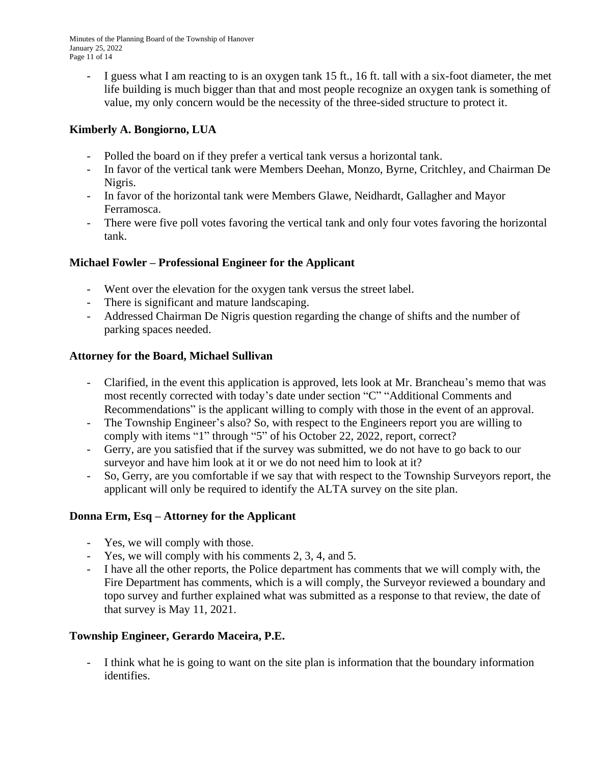Minutes of the Planning Board of the Township of Hanover January 25, 2022 Page 11 of 14

- I guess what I am reacting to is an oxygen tank 15 ft., 16 ft. tall with a six-foot diameter, the met life building is much bigger than that and most people recognize an oxygen tank is something of value, my only concern would be the necessity of the three-sided structure to protect it.

# **Kimberly A. Bongiorno, LUA**

- Polled the board on if they prefer a vertical tank versus a horizontal tank.
- In favor of the vertical tank were Members Deehan, Monzo, Byrne, Critchley, and Chairman De Nigris.
- In favor of the horizontal tank were Members Glawe, Neidhardt, Gallagher and Mayor Ferramosca.
- There were five poll votes favoring the vertical tank and only four votes favoring the horizontal tank.

# **Michael Fowler – Professional Engineer for the Applicant**

- Went over the elevation for the oxygen tank versus the street label.
- There is significant and mature landscaping.
- Addressed Chairman De Nigris question regarding the change of shifts and the number of parking spaces needed.

# **Attorney for the Board, Michael Sullivan**

- Clarified, in the event this application is approved, lets look at Mr. Brancheau's memo that was most recently corrected with today's date under section "C" "Additional Comments and Recommendations" is the applicant willing to comply with those in the event of an approval.
- The Township Engineer's also? So, with respect to the Engineers report you are willing to comply with items "1" through "5" of his October 22, 2022, report, correct?
- Gerry, are you satisfied that if the survey was submitted, we do not have to go back to our surveyor and have him look at it or we do not need him to look at it?
- So, Gerry, are you comfortable if we say that with respect to the Township Surveyors report, the applicant will only be required to identify the ALTA survey on the site plan.

# **Donna Erm, Esq – Attorney for the Applicant**

- Yes, we will comply with those.
- Yes, we will comply with his comments 2, 3, 4, and 5.
- I have all the other reports, the Police department has comments that we will comply with, the Fire Department has comments, which is a will comply, the Surveyor reviewed a boundary and topo survey and further explained what was submitted as a response to that review, the date of that survey is May 11, 2021.

# **Township Engineer, Gerardo Maceira, P.E.**

I think what he is going to want on the site plan is information that the boundary information identifies.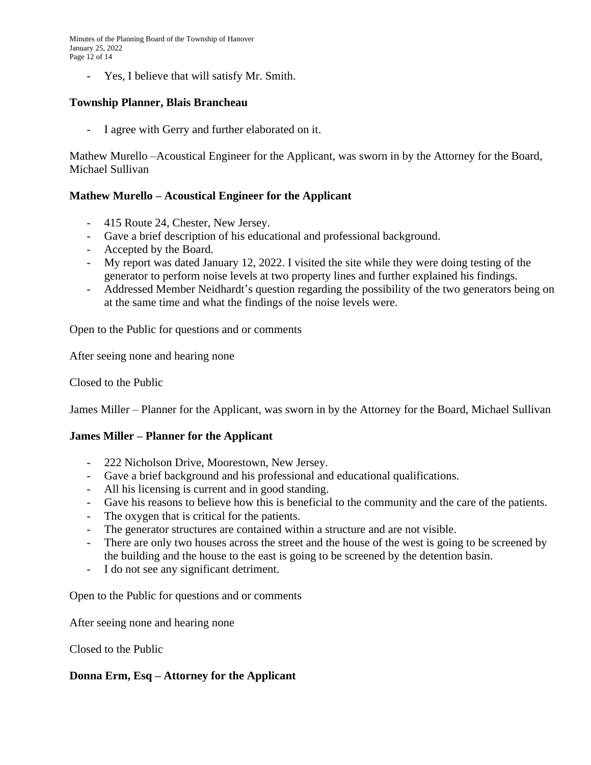Minutes of the Planning Board of the Township of Hanover January 25, 2022 Page 12 of 14

- Yes, I believe that will satisfy Mr. Smith.

### **Township Planner, Blais Brancheau**

I agree with Gerry and further elaborated on it.

Mathew Murello –Acoustical Engineer for the Applicant, was sworn in by the Attorney for the Board, Michael Sullivan

### **Mathew Murello – Acoustical Engineer for the Applicant**

- 415 Route 24, Chester, New Jersey.
- Gave a brief description of his educational and professional background.
- Accepted by the Board.
- My report was dated January 12, 2022. I visited the site while they were doing testing of the generator to perform noise levels at two property lines and further explained his findings.
- Addressed Member Neidhardt's question regarding the possibility of the two generators being on at the same time and what the findings of the noise levels were.

Open to the Public for questions and or comments

After seeing none and hearing none

Closed to the Public

James Miller – Planner for the Applicant, was sworn in by the Attorney for the Board, Michael Sullivan

### **James Miller – Planner for the Applicant**

- 222 Nicholson Drive, Moorestown, New Jersey.
- Gave a brief background and his professional and educational qualifications.
- All his licensing is current and in good standing.
- Gave his reasons to believe how this is beneficial to the community and the care of the patients.
- The oxygen that is critical for the patients.
- The generator structures are contained within a structure and are not visible.
- There are only two houses across the street and the house of the west is going to be screened by the building and the house to the east is going to be screened by the detention basin.
- I do not see any significant detriment.

Open to the Public for questions and or comments

After seeing none and hearing none

Closed to the Public

### **Donna Erm, Esq – Attorney for the Applicant**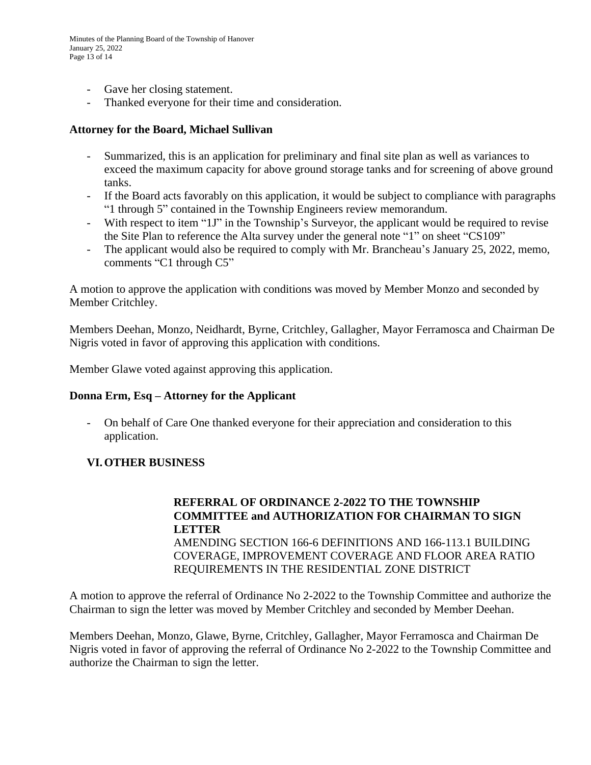- Gave her closing statement.
- Thanked everyone for their time and consideration.

#### **Attorney for the Board, Michael Sullivan**

- Summarized, this is an application for preliminary and final site plan as well as variances to exceed the maximum capacity for above ground storage tanks and for screening of above ground tanks.
- If the Board acts favorably on this application, it would be subject to compliance with paragraphs "1 through 5" contained in the Township Engineers review memorandum.
- With respect to item "1J" in the Township's Surveyor, the applicant would be required to revise the Site Plan to reference the Alta survey under the general note "1" on sheet "CS109"
- The applicant would also be required to comply with Mr. Brancheau's January 25, 2022, memo, comments "C1 through C5"

A motion to approve the application with conditions was moved by Member Monzo and seconded by Member Critchley.

Members Deehan, Monzo, Neidhardt, Byrne, Critchley, Gallagher, Mayor Ferramosca and Chairman De Nigris voted in favor of approving this application with conditions.

Member Glawe voted against approving this application.

### **Donna Erm, Esq – Attorney for the Applicant**

- On behalf of Care One thanked everyone for their appreciation and consideration to this application.

### **VI.OTHER BUSINESS**

# **REFERRAL OF ORDINANCE 2-2022 TO THE TOWNSHIP COMMITTEE and AUTHORIZATION FOR CHAIRMAN TO SIGN LETTER** AMENDING SECTION 166-6 DEFINITIONS AND 166-113.1 BUILDING COVERAGE, IMPROVEMENT COVERAGE AND FLOOR AREA RATIO REQUIREMENTS IN THE RESIDENTIAL ZONE DISTRICT

A motion to approve the referral of Ordinance No 2-2022 to the Township Committee and authorize the Chairman to sign the letter was moved by Member Critchley and seconded by Member Deehan.

Members Deehan, Monzo, Glawe, Byrne, Critchley, Gallagher, Mayor Ferramosca and Chairman De Nigris voted in favor of approving the referral of Ordinance No 2-2022 to the Township Committee and authorize the Chairman to sign the letter.